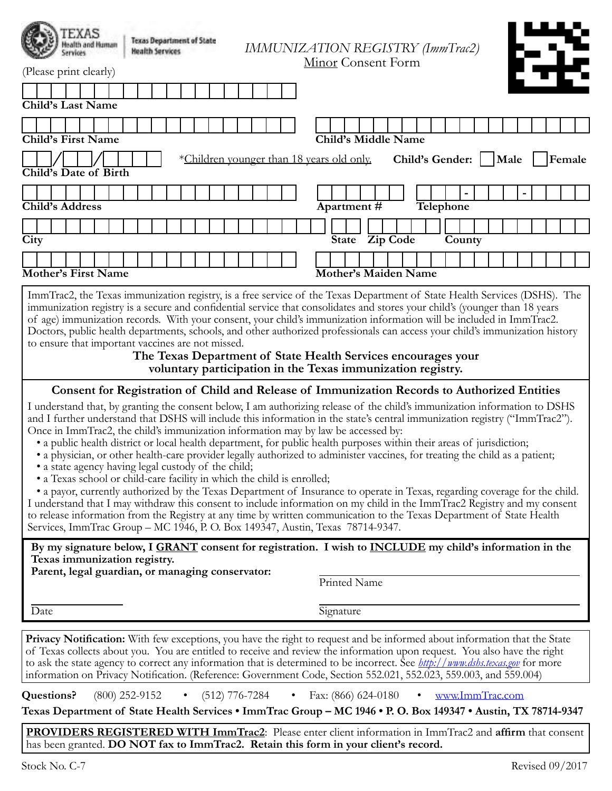| EXAS<br><b>Texas Department of State</b><br><b>Health Services</b><br>(Please print clearly)                             | IMMUNIZATION REGISTRY (ImmTrac2)<br>Minor Consent Form |
|--------------------------------------------------------------------------------------------------------------------------|--------------------------------------------------------|
|                                                                                                                          |                                                        |
| Child's Last Name                                                                                                        |                                                        |
|                                                                                                                          |                                                        |
| <b>Child's First Name</b>                                                                                                | Child's Middle Name                                    |
| *Children younger than 18 years old only.<br>Child's Date of Birth                                                       | Child's Gender:<br>Female<br>Male                      |
|                                                                                                                          |                                                        |
| <b>Child's Address</b>                                                                                                   | Apartment#<br><b>Telephone</b>                         |
|                                                                                                                          | Zip Code                                               |
| City                                                                                                                     | State<br>County                                        |
|                                                                                                                          |                                                        |
| <b>Mother's First Name</b>                                                                                               | <b>Mother's Maiden Name</b>                            |
| ImmTrac2, the Texas immunization registry is a free service of the Texas Department of State Health Services (DSHS). The |                                                        |

ImmTrac2, the Texas immunization registry, is a free service of the Texas Department of State Health Services (DSHS). The immunization registry is a secure and confidential service that consolidates and stores your child's (younger than 18 years of age) immunization records. With your consent, your child's immunization information will be included in ImmTrac2. Doctors, public health departments, schools, and other authorized professionals can access your child's immunization history to ensure that important vaccines are not missed.

**The Texas Department of State Health Services encourages your voluntary participation in the Texas immunization registry.**

#### **Consent for Registration of Child and Release of Immunization Records to Authorized Entities**

I understand that, by granting the consent below, I am authorizing release of the child's immunization information to DSHS and I further understand that DSHS will include this information in the state's central immunization registry ("ImmTrac2"). Once in ImmTrac2, the child's immunization information may by law be accessed by:

- a public health district or local health department, for public health purposes within their areas of jurisdiction;
- a physician, or other health-care provider legally authorized to administer vaccines, for treating the child as a patient;
- a state agency having legal custody of the child;
- a Texas school or child-care facility in which the child is enrolled;

• a payor, currently authorized by the Texas Department of Insurance to operate in Texas, regarding coverage for the child. I understand that I may withdraw this consent to include information on my child in the ImmTrac2 Registry and my consent to release information from the Registry at any time by written communication to the Texas Department of State Health

Services, ImmTrac Group – MC 1946, P. O. Box 149347, Austin, Texas 78714-9347.

**By my signature below, I GRANT consent for registration. I wish to INCLUDE my child's information in the Texas immunization registry.**

**Parent, legal guardian, or managing conservator:**

Printed Name

Date Signature

**Privacy Notification:** With few exceptions, you have the right to request and be informed about information that the State of Texas collects about you. You are entitled to receive and review the information upon request. You also have the right to ask the state agency to correct any information that is determined to be incorrect. See *http://www.dshs.texas.gov* for more information on Privacy Notification. (Reference: Government Code, Section 552.021, 552.023, 559.003, and 559.004)

**Questions?** (800) 252-9152 • (512) 776-7284 • Fax: (866) 624-0180 • www.ImmTrac.com

**Texas Department of State Health Services • ImmTrac Group – MC 1946 • P. O. Box 149347 • Austin, TX 78714-9347**

**PROVIDERS REGISTERED WITH ImmTrac2**: Please enter client information in ImmTrac2 and **affirm** that consent has been granted. **DO NOT fax to ImmTrac2. Retain this form in your client's record.**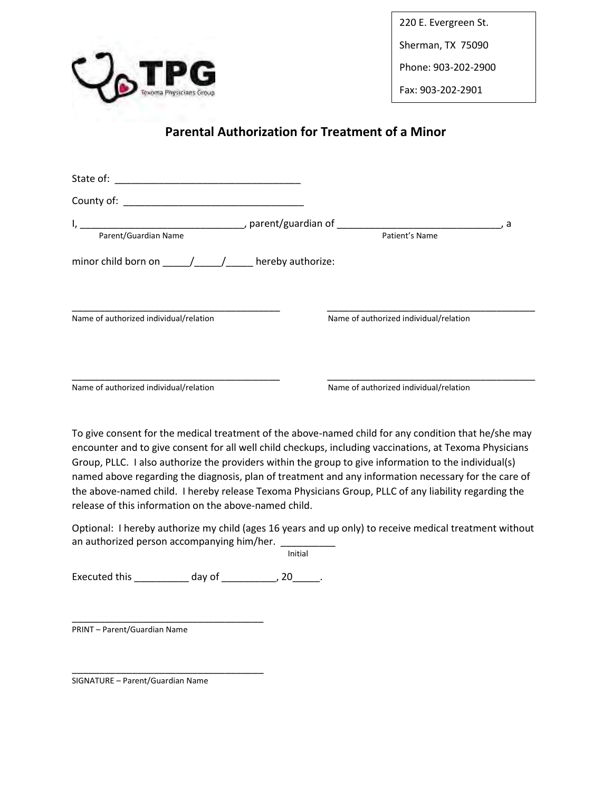

220 E. Evergreen St.

Sherman, TX 75090

Phone: 903-202-2900

Fax: 903-202-2901

## **Parental Authorization for Treatment of a Minor**

| Parent/Guardian Name                                                                                                                                                                                                                                                                                                                                                                                              | Patient's Name                         | , а |
|-------------------------------------------------------------------------------------------------------------------------------------------------------------------------------------------------------------------------------------------------------------------------------------------------------------------------------------------------------------------------------------------------------------------|----------------------------------------|-----|
| minor child born on $\frac{1}{\sqrt{1-\frac{1}{\sqrt{1-\frac{1}{\sqrt{1-\frac{1}{\sqrt{1-\frac{1}{\sqrt{1-\frac{1}{\sqrt{1-\frac{1}{\sqrt{1-\frac{1}{\sqrt{1-\frac{1}{\sqrt{1-\frac{1}{\sqrt{1-\frac{1}{\sqrt{1-\frac{1}{\sqrt{1-\frac{1}{\sqrt{1-\frac{1}{\sqrt{1-\frac{1}{\sqrt{1-\frac{1}{\sqrt{1-\frac{1}{\sqrt{1-\frac{1}{\sqrt{1-\frac{1}{\sqrt{1-\frac{1}{\sqrt{1-\frac{1}{\sqrt{1-\frac{1}{\sqrt{1-\frac$ |                                        |     |
| Name of authorized individual/relation                                                                                                                                                                                                                                                                                                                                                                            | Name of authorized individual/relation |     |
| Name of authorized individual/relation                                                                                                                                                                                                                                                                                                                                                                            | Name of authorized individual/relation |     |
| To give consent for the medical treatment of the above-named child for any condition that he/she may<br>encounter and to give consent for all well child checkups, including vaccinations, at Texoma Physicians                                                                                                                                                                                                   |                                        |     |

Group, PLLC. I also authorize the providers within the group to give information to the individual(s) named above regarding the diagnosis, plan of treatment and any information necessary for the care of the above-named child. I hereby release Texoma Physicians Group, PLLC of any liability regarding the release of this information on the above-named child.

Optional: I hereby authorize my child (ages 16 years and up only) to receive medical treatment without an authorized person accompanying him/her. \_\_

Initial

Executed this \_\_\_\_\_\_\_\_\_\_\_\_ day of \_\_\_\_\_\_\_\_\_\_, 20\_\_\_\_\_.

\_\_\_\_\_\_\_\_\_\_\_\_\_\_\_\_\_\_\_\_\_\_\_\_\_\_\_\_\_\_\_\_\_\_\_ PRINT – Parent/Guardian Name

\_\_\_\_\_\_\_\_\_\_\_\_\_\_\_\_\_\_\_\_\_\_\_\_\_\_\_\_\_\_\_\_\_\_\_ SIGNATURE – Parent/Guardian Name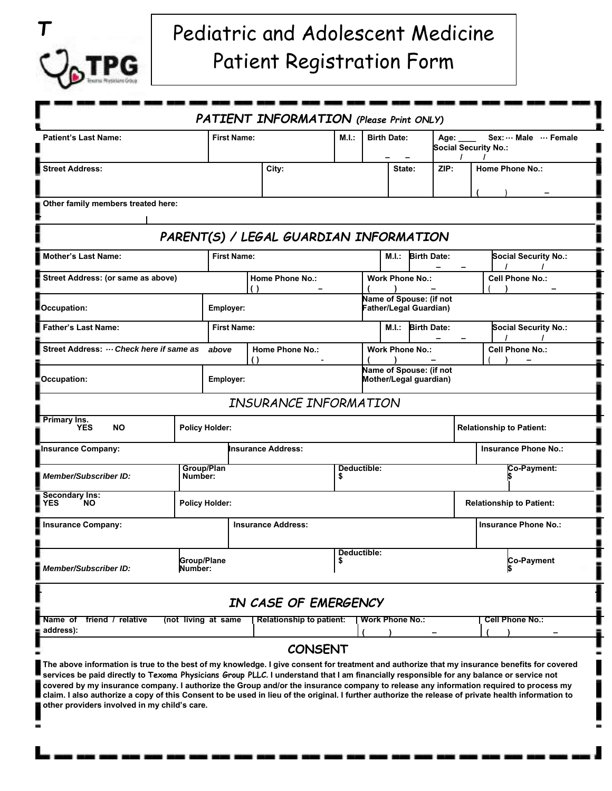

# Pediatric and Adolescent Medicine Patient Registration Form

|                                                                                                                                                                                                                                                                                                                                                                                                                                                                                                                                                                                                                                                  |                           |                                            |                        | <b>PATIENT INFORMATION</b> (Please Print ONLY) |       |                                                          |                        |                   |                                                           |                                 |                             |  |
|--------------------------------------------------------------------------------------------------------------------------------------------------------------------------------------------------------------------------------------------------------------------------------------------------------------------------------------------------------------------------------------------------------------------------------------------------------------------------------------------------------------------------------------------------------------------------------------------------------------------------------------------------|---------------------------|--------------------------------------------|------------------------|------------------------------------------------|-------|----------------------------------------------------------|------------------------|-------------------|-----------------------------------------------------------|---------------------------------|-----------------------------|--|
| <b>Patient's Last Name:</b>                                                                                                                                                                                                                                                                                                                                                                                                                                                                                                                                                                                                                      |                           | <b>First Name:</b>                         |                        |                                                | M.I.: | <b>Birth Date:</b>                                       |                        |                   | Sex:  Male  Female<br>Age:<br><b>Social Security No.:</b> |                                 |                             |  |
| <b>Street Address:</b>                                                                                                                                                                                                                                                                                                                                                                                                                                                                                                                                                                                                                           |                           |                                            | City:                  |                                                |       | State:                                                   |                        | ZIP:              | $\prime$                                                  |                                 | <b>Home Phone No.:</b>      |  |
| Other family members treated here:                                                                                                                                                                                                                                                                                                                                                                                                                                                                                                                                                                                                               |                           |                                            |                        |                                                |       |                                                          |                        |                   |                                                           |                                 |                             |  |
|                                                                                                                                                                                                                                                                                                                                                                                                                                                                                                                                                                                                                                                  |                           |                                            |                        | PARENT(S) / LEGAL GUARDIAN INFORMATION         |       |                                                          |                        |                   |                                                           |                                 |                             |  |
| <b>Mother's Last Name:</b>                                                                                                                                                                                                                                                                                                                                                                                                                                                                                                                                                                                                                       |                           |                                            | <b>First Name:</b>     |                                                |       | <b>Birth Date:</b><br>M.I.:                              |                        |                   |                                                           | <b>Social Security No.:</b>     |                             |  |
| Street Address: (or same as above)                                                                                                                                                                                                                                                                                                                                                                                                                                                                                                                                                                                                               |                           |                                            | <b>Home Phone No.:</b> |                                                |       | <b>Work Phone No.:</b>                                   |                        |                   |                                                           | <b>Cell Phone No.:</b>          |                             |  |
| Occupation:                                                                                                                                                                                                                                                                                                                                                                                                                                                                                                                                                                                                                                      | Employer:                 |                                            |                        |                                                |       | Name of Spouse: (if not<br><b>Father/Legal Guardian)</b> |                        |                   |                                                           |                                 |                             |  |
| <b>Father's Last Name:</b>                                                                                                                                                                                                                                                                                                                                                                                                                                                                                                                                                                                                                       |                           |                                            | <b>First Name:</b>     |                                                |       |                                                          |                        | M.I.: Birth Date: |                                                           | <b>Social Security No.:</b>     |                             |  |
| Street Address:  Check here if same as<br>above                                                                                                                                                                                                                                                                                                                                                                                                                                                                                                                                                                                                  |                           |                                            | <b>Home Phone No.:</b> |                                                |       |                                                          | <b>Work Phone No.:</b> |                   |                                                           | <b>Cell Phone No.:</b>          |                             |  |
| Occupation:                                                                                                                                                                                                                                                                                                                                                                                                                                                                                                                                                                                                                                      | Employer:                 |                                            |                        |                                                |       | Name of Spouse: (if not<br>Mother/Legal guardian)        |                        |                   |                                                           |                                 |                             |  |
|                                                                                                                                                                                                                                                                                                                                                                                                                                                                                                                                                                                                                                                  |                           |                                            |                        | INSURANCE INFORMATION                          |       |                                                          |                        |                   |                                                           |                                 |                             |  |
| <b>Primary Ins.</b><br><b>YES</b><br><b>NO</b>                                                                                                                                                                                                                                                                                                                                                                                                                                                                                                                                                                                                   | <b>Policy Holder:</b>     |                                            |                        |                                                |       | <b>Relationship to Patient:</b>                          |                        |                   |                                                           |                                 |                             |  |
| Insurance Company:                                                                                                                                                                                                                                                                                                                                                                                                                                                                                                                                                                                                                               | <b>Insurance Address:</b> |                                            |                        |                                                |       |                                                          |                        |                   |                                                           |                                 | <b>Insurance Phone No.:</b> |  |
| Member/Subscriber ID:                                                                                                                                                                                                                                                                                                                                                                                                                                                                                                                                                                                                                            |                           | Group/Plan<br>Deductible:<br>Number:<br>\$ |                        |                                                |       |                                                          |                        |                   |                                                           | Co-Payment:                     |                             |  |
| <b>Secondary Ins:</b><br><b>YES</b><br>NO.                                                                                                                                                                                                                                                                                                                                                                                                                                                                                                                                                                                                       |                           | <b>Policy Holder:</b>                      |                        |                                                |       |                                                          |                        |                   |                                                           | <b>Relationship to Patient:</b> |                             |  |
| <b>Insurance Address:</b><br><b>Insurance Company:</b>                                                                                                                                                                                                                                                                                                                                                                                                                                                                                                                                                                                           |                           |                                            |                        |                                                |       |                                                          |                        |                   |                                                           | <b>Insurance Phone No.:</b>     |                             |  |
| <b>Member/Subscriber ID:</b>                                                                                                                                                                                                                                                                                                                                                                                                                                                                                                                                                                                                                     |                           | Group/Plane<br>\$<br>Number:               |                        |                                                |       | Deductible:                                              |                        |                   |                                                           |                                 | <b>Co-Payment</b>           |  |
|                                                                                                                                                                                                                                                                                                                                                                                                                                                                                                                                                                                                                                                  |                           |                                            |                        | IN CASE OF EMERGENCY                           |       |                                                          |                        |                   |                                                           |                                 |                             |  |
| <b>Cell Phone No.:</b><br>friend / relative<br>(not living at same<br><b>Relationship to patient:</b><br><b>Work Phone No.:</b><br>Name of<br>≞ address):                                                                                                                                                                                                                                                                                                                                                                                                                                                                                        |                           |                                            |                        |                                                |       |                                                          |                        |                   |                                                           |                                 |                             |  |
|                                                                                                                                                                                                                                                                                                                                                                                                                                                                                                                                                                                                                                                  |                           |                                            |                        | <b>CONSENT</b>                                 |       |                                                          |                        |                   |                                                           |                                 |                             |  |
| The above information is true to the best of my knowledge. I give consent for treatment and authorize that my insurance benefits for covered<br>services be paid directly to Texoma Physicians <i>G</i> roup PLLC. I understand that I am financially responsible for any balance or service not<br>covered by my insurance company. I authorize the Group and/or the insurance company to release any information required to process my<br>claim. I also authorize a copy of this Consent to be used in lieu of the original. I further authorize the release of private health information to<br>other providers involved in my child's care. |                           |                                            |                        |                                                |       |                                                          |                        |                   |                                                           |                                 |                             |  |